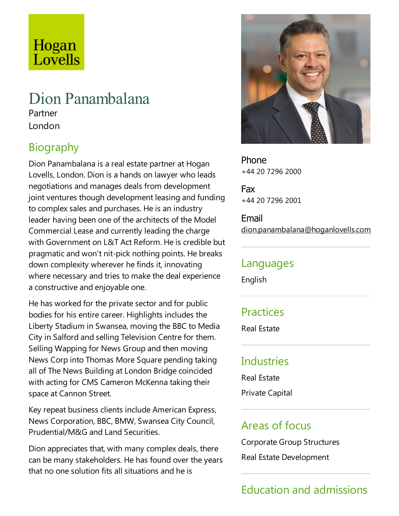## Hogan Lovells

# Dion Panambalana

Partner London

## Biography

Dion Panambalana is a real estate partner at Hogan Lovells, London. Dion is a hands on lawyer who leads negotiations and manages deals from development joint ventures though development leasing and funding to complex sales and purchases. He is an industry leader having been one of the architects of the Model Commercial Lease and currently leading the charge with Government on L&T Act Reform. He is credible but pragmaticand won't nit-pick nothing points. He breaks down complexity wherever he finds it, innovating where necessary and tries to make the deal experience a constructive and enjoyable one.

He has worked for the private sector and for public bodies for his entire career. Highlights includes the Liberty Stadium in Swansea, moving the BBC to Media City in Salford and selling Television Centre for them. Selling Wapping for News Group and then moving News Corp into Thomas More Square pending taking all of The News Building at London Bridge coincided with acting for CMS Cameron McKenna taking their space at Cannon Street.

Key repeat business clients include American Express, News Corporation, BBC, BMW, Swansea City Council, Prudential/M&G and Land Securities.

Dion appreciates that, with many complex deals, there can be many stakeholders. He has found over the years that no one solution fits all situations and he is



Phone +44 20 7296 2000

Fax +44 20 7296 2001

Email dion.panambalana@hoganlovells.com

#### Languages

English

#### **Practices**

Real Estate

#### Industries

Real Estate

Private Capital

#### Areas of focus

Corporate Group Structures

Real Estate Development

## Education and admissions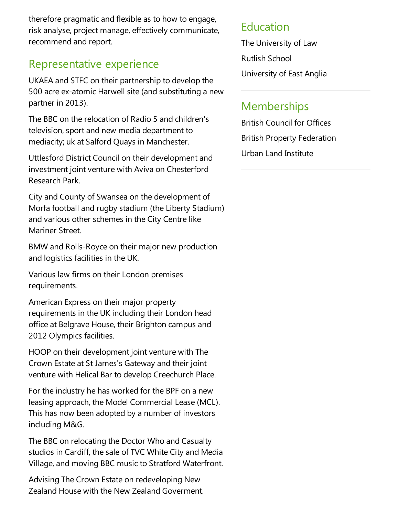therefore pragmatic and flexible as to how to engage, risk analyse, project manage, effectively communicate, recommend and report.

#### Representative experience

UKAEA and STFC on their partnership to develop the 500 acre ex-atomic Harwell site (and substituting a new partner in 2013).

The BBC on the relocation of Radio 5 and children's television, sport and new media department to mediacity; uk at Salford Quays in Manchester.

Uttlesford District Council on their development and investment joint venture with Aviva on Chesterford Research Park.

City and County of Swansea on the development of Morfa football and rugby stadium (the Liberty Stadium) and various other schemes in the City Centre like Mariner Street.

BMW and Rolls-Royce on their major new production and logistics facilities in the UK.

Various law firms on their London premises requirements.

American Express on their major property requirements in the UK including their London head office at Belgrave House, their Brighton campus and 2012 Olympics facilities.

HOOP on their development joint venture with The Crown Estateat St James's Gateway and their joint venture with Helical Bar to develop Creechurch Place.

For the industry he has worked for the BPF on a new leasing approach, the Model Commercial Lease(MCL). This has now been adopted by a number of investors including M&G.

The BBC on relocating the Doctor Who and Casualty studios in Cardiff, the sale of TVC White City and Media Village, and moving BBC music to Stratford Waterfront.

Advising The Crown Estate on redeveloping New Zealand House with the New Zealand Goverment.

#### Education

The University of Law Rutlish School University of East Anglia

#### **Memberships**

British Council for Offices British Property Federation Urban Land Institute